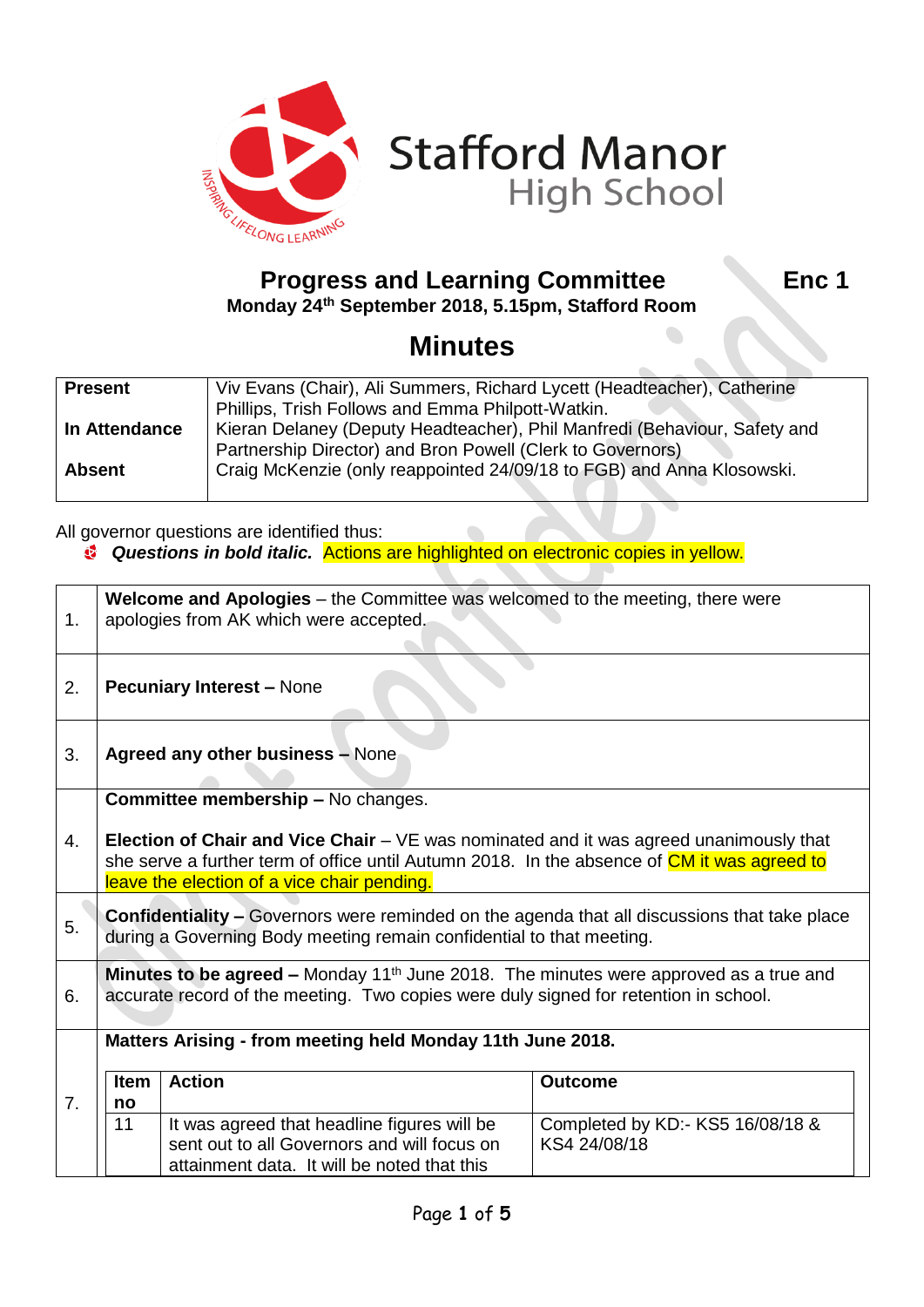

## **Progress and Learning Committee Fig. 2.1 Enc 1 Monday 24th September 2018, 5.15pm, Stafford Room**

## **Minutes**

| <b>Present</b> | Viv Evans (Chair), Ali Summers, Richard Lycett (Headteacher), Catherine   |  |  |
|----------------|---------------------------------------------------------------------------|--|--|
|                | Phillips, Trish Follows and Emma Philpott-Watkin.                         |  |  |
| In Attendance  | Kieran Delaney (Deputy Headteacher), Phil Manfredi (Behaviour, Safety and |  |  |
|                | Partnership Director) and Bron Powell (Clerk to Governors)                |  |  |
| <b>Absent</b>  | Craig McKenzie (only reappointed 24/09/18 to FGB) and Anna Klosowski.     |  |  |
|                |                                                                           |  |  |

All governor questions are identified thus:

*Questions in bold italic.* Actions are highlighted on electronic copies in yellow.

| 1. | <b>Welcome and Apologies</b> – the Committee was welcomed to the meeting, there were<br>apologies from AK which were accepted.                                                                                                                                                           |                                                                                                                                           |                                                  |
|----|------------------------------------------------------------------------------------------------------------------------------------------------------------------------------------------------------------------------------------------------------------------------------------------|-------------------------------------------------------------------------------------------------------------------------------------------|--------------------------------------------------|
| 2. | <b>Pecuniary Interest - None</b>                                                                                                                                                                                                                                                         |                                                                                                                                           |                                                  |
| 3. | <b>Agreed any other business - None</b>                                                                                                                                                                                                                                                  |                                                                                                                                           |                                                  |
| 4. | <b>Committee membership - No changes.</b><br><b>Election of Chair and Vice Chair</b> – VE was nominated and it was agreed unanimously that<br>she serve a further term of office until Autumn 2018. In the absence of CM it was agreed to<br>leave the election of a vice chair pending. |                                                                                                                                           |                                                  |
| 5. | <b>Confidentiality - Governors were reminded on the agenda that all discussions that take place</b><br>during a Governing Body meeting remain confidential to that meeting.                                                                                                              |                                                                                                                                           |                                                  |
| 6. | Minutes to be agreed – Monday 11 <sup>th</sup> June 2018. The minutes were approved as a true and<br>accurate record of the meeting. Two copies were duly signed for retention in school.                                                                                                |                                                                                                                                           |                                                  |
|    |                                                                                                                                                                                                                                                                                          | Matters Arising - from meeting held Monday 11th June 2018.                                                                                |                                                  |
| 7. | <b>Item</b><br>no                                                                                                                                                                                                                                                                        | <b>Action</b>                                                                                                                             | <b>Outcome</b>                                   |
|    | 11                                                                                                                                                                                                                                                                                       | It was agreed that headline figures will be<br>sent out to all Governors and will focus on<br>attainment data. It will be noted that this | Completed by KD:- KS5 16/08/18 &<br>KS4 24/08/18 |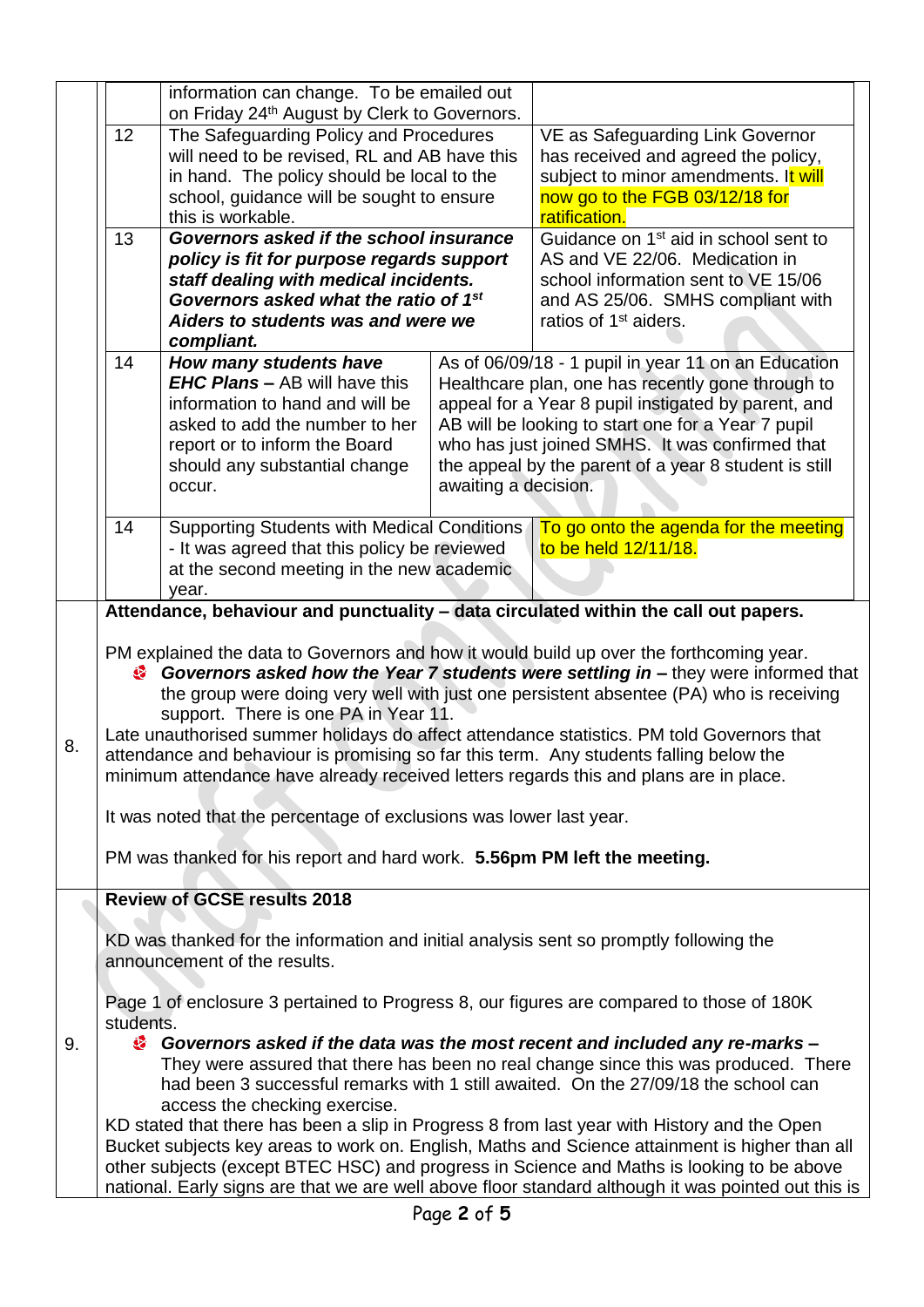|    |                                                                                                                                                                                                                                                                                                                                                                                                                                                                                                                                                                                                                                                                                                                                                    | information can change. To be emailed out                                              |                                |                                                                                          |  |
|----|----------------------------------------------------------------------------------------------------------------------------------------------------------------------------------------------------------------------------------------------------------------------------------------------------------------------------------------------------------------------------------------------------------------------------------------------------------------------------------------------------------------------------------------------------------------------------------------------------------------------------------------------------------------------------------------------------------------------------------------------------|----------------------------------------------------------------------------------------|--------------------------------|------------------------------------------------------------------------------------------|--|
|    | 12                                                                                                                                                                                                                                                                                                                                                                                                                                                                                                                                                                                                                                                                                                                                                 | on Friday 24th August by Clerk to Governors.<br>The Safeguarding Policy and Procedures |                                | VE as Safeguarding Link Governor                                                         |  |
|    |                                                                                                                                                                                                                                                                                                                                                                                                                                                                                                                                                                                                                                                                                                                                                    | will need to be revised, RL and AB have this                                           |                                | has received and agreed the policy,                                                      |  |
|    |                                                                                                                                                                                                                                                                                                                                                                                                                                                                                                                                                                                                                                                                                                                                                    | in hand. The policy should be local to the                                             |                                | subject to minor amendments. It will                                                     |  |
|    | school, guidance will be sought to ensure                                                                                                                                                                                                                                                                                                                                                                                                                                                                                                                                                                                                                                                                                                          |                                                                                        | now go to the FGB 03/12/18 for |                                                                                          |  |
|    |                                                                                                                                                                                                                                                                                                                                                                                                                                                                                                                                                                                                                                                                                                                                                    | this is workable.                                                                      |                                | ratification.                                                                            |  |
|    | 13                                                                                                                                                                                                                                                                                                                                                                                                                                                                                                                                                                                                                                                                                                                                                 | Governors asked if the school insurance                                                |                                | Guidance on 1 <sup>st</sup> aid in school sent to                                        |  |
|    |                                                                                                                                                                                                                                                                                                                                                                                                                                                                                                                                                                                                                                                                                                                                                    | policy is fit for purpose regards support                                              |                                | AS and VE 22/06. Medication in                                                           |  |
|    |                                                                                                                                                                                                                                                                                                                                                                                                                                                                                                                                                                                                                                                                                                                                                    | staff dealing with medical incidents.                                                  |                                | school information sent to VE 15/06                                                      |  |
|    |                                                                                                                                                                                                                                                                                                                                                                                                                                                                                                                                                                                                                                                                                                                                                    | Governors asked what the ratio of 1st<br>Aiders to students was and were we            |                                | and AS 25/06. SMHS compliant with<br>ratios of 1 <sup>st</sup> aiders.                   |  |
|    |                                                                                                                                                                                                                                                                                                                                                                                                                                                                                                                                                                                                                                                                                                                                                    | compliant.                                                                             |                                |                                                                                          |  |
|    | 14                                                                                                                                                                                                                                                                                                                                                                                                                                                                                                                                                                                                                                                                                                                                                 | How many students have                                                                 |                                | As of 06/09/18 - 1 pupil in year 11 on an Education                                      |  |
|    |                                                                                                                                                                                                                                                                                                                                                                                                                                                                                                                                                                                                                                                                                                                                                    | <b>EHC Plans - AB will have this</b>                                                   |                                | Healthcare plan, one has recently gone through to                                        |  |
|    |                                                                                                                                                                                                                                                                                                                                                                                                                                                                                                                                                                                                                                                                                                                                                    | information to hand and will be                                                        |                                | appeal for a Year 8 pupil instigated by parent, and                                      |  |
|    |                                                                                                                                                                                                                                                                                                                                                                                                                                                                                                                                                                                                                                                                                                                                                    | asked to add the number to her                                                         |                                | AB will be looking to start one for a Year 7 pupil                                       |  |
|    |                                                                                                                                                                                                                                                                                                                                                                                                                                                                                                                                                                                                                                                                                                                                                    | report or to inform the Board                                                          |                                | who has just joined SMHS. It was confirmed that                                          |  |
|    |                                                                                                                                                                                                                                                                                                                                                                                                                                                                                                                                                                                                                                                                                                                                                    | should any substantial change                                                          |                                | the appeal by the parent of a year 8 student is still                                    |  |
|    |                                                                                                                                                                                                                                                                                                                                                                                                                                                                                                                                                                                                                                                                                                                                                    | occur.                                                                                 | awaiting a decision.           |                                                                                          |  |
|    | 14                                                                                                                                                                                                                                                                                                                                                                                                                                                                                                                                                                                                                                                                                                                                                 | <b>Supporting Students with Medical Conditions</b>                                     |                                | To go onto the agenda for the meeting                                                    |  |
|    |                                                                                                                                                                                                                                                                                                                                                                                                                                                                                                                                                                                                                                                                                                                                                    | - It was agreed that this policy be reviewed                                           |                                | to be held 12/11/18.                                                                     |  |
|    |                                                                                                                                                                                                                                                                                                                                                                                                                                                                                                                                                                                                                                                                                                                                                    | at the second meeting in the new academic                                              |                                |                                                                                          |  |
|    |                                                                                                                                                                                                                                                                                                                                                                                                                                                                                                                                                                                                                                                                                                                                                    | year.                                                                                  |                                | Attendance, behaviour and punctuality - data circulated within the call out papers.      |  |
| 8. | PM explained the data to Governors and how it would build up over the forthcoming year.<br>Governors asked how the Year 7 students were settling in – they were informed that<br>the group were doing very well with just one persistent absentee (PA) who is receiving<br>support. There is one PA in Year 11.<br>Late unauthorised summer holidays do affect attendance statistics. PM told Governors that<br>attendance and behaviour is promising so far this term. Any students falling below the<br>minimum attendance have already received letters regards this and plans are in place.<br>It was noted that the percentage of exclusions was lower last year.<br>PM was thanked for his report and hard work. 5.56pm PM left the meeting. |                                                                                        |                                |                                                                                          |  |
|    |                                                                                                                                                                                                                                                                                                                                                                                                                                                                                                                                                                                                                                                                                                                                                    | <b>Review of GCSE results 2018</b>                                                     |                                |                                                                                          |  |
|    |                                                                                                                                                                                                                                                                                                                                                                                                                                                                                                                                                                                                                                                                                                                                                    |                                                                                        |                                |                                                                                          |  |
|    | KD was thanked for the information and initial analysis sent so promptly following the<br>announcement of the results.                                                                                                                                                                                                                                                                                                                                                                                                                                                                                                                                                                                                                             |                                                                                        |                                |                                                                                          |  |
|    |                                                                                                                                                                                                                                                                                                                                                                                                                                                                                                                                                                                                                                                                                                                                                    |                                                                                        |                                | Page 1 of enclosure 3 pertained to Progress 8, our figures are compared to those of 180K |  |
| 9. | students.<br>Governors asked if the data was the most recent and included any re-marks -<br>They were assured that there has been no real change since this was produced. There<br>had been 3 successful remarks with 1 still awaited. On the 27/09/18 the school can<br>access the checking exercise.                                                                                                                                                                                                                                                                                                                                                                                                                                             |                                                                                        |                                |                                                                                          |  |
|    | KD stated that there has been a slip in Progress 8 from last year with History and the Open<br>Bucket subjects key areas to work on. English, Maths and Science attainment is higher than all<br>other subjects (except BTEC HSC) and progress in Science and Maths is looking to be above<br>national. Early signs are that we are well above floor standard although it was pointed out this is                                                                                                                                                                                                                                                                                                                                                  |                                                                                        |                                |                                                                                          |  |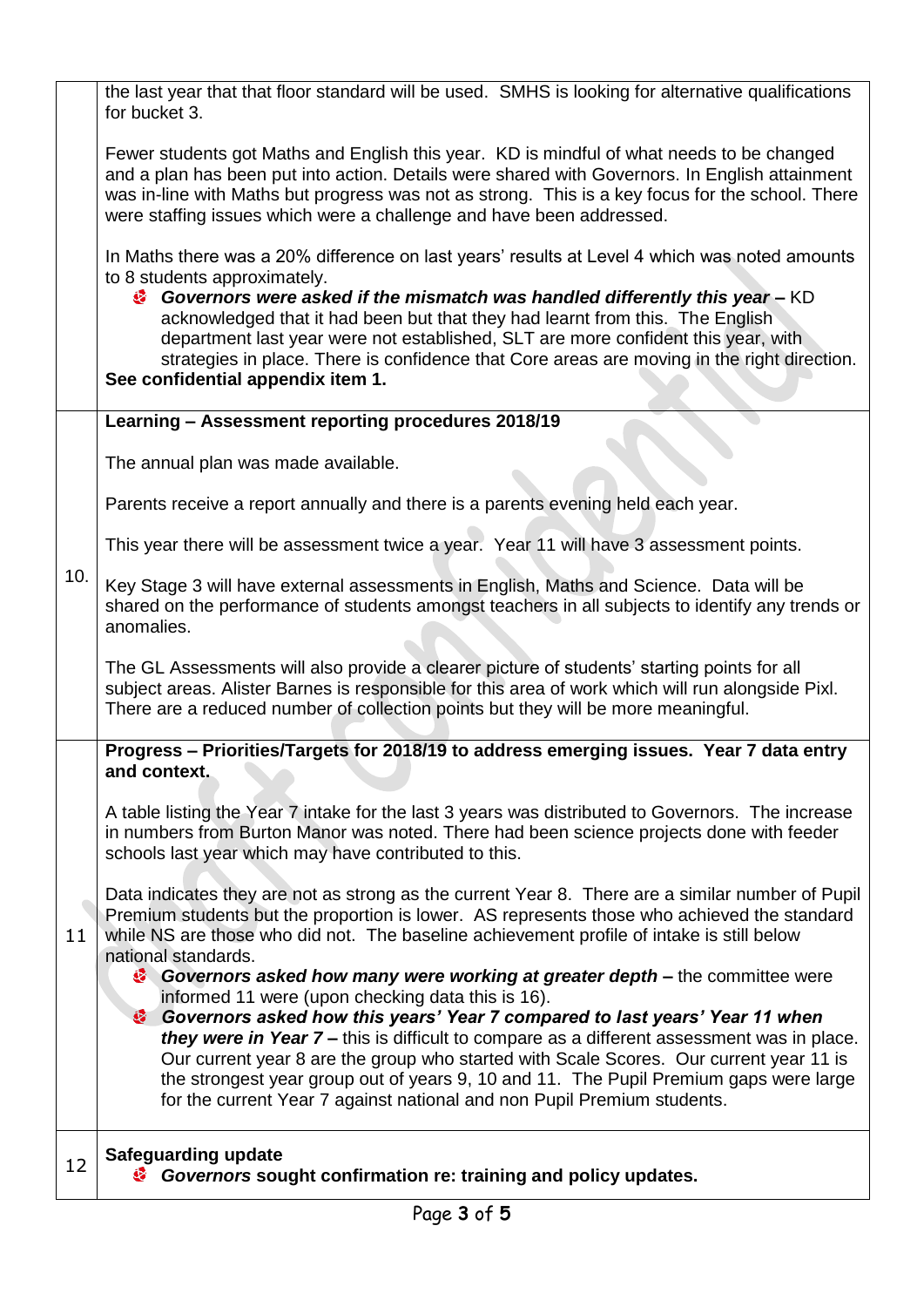|     | the last year that that floor standard will be used. SMHS is looking for alternative qualifications<br>for bucket 3.                                                                                                                                                                                                                                                    |
|-----|-------------------------------------------------------------------------------------------------------------------------------------------------------------------------------------------------------------------------------------------------------------------------------------------------------------------------------------------------------------------------|
|     | Fewer students got Maths and English this year. KD is mindful of what needs to be changed<br>and a plan has been put into action. Details were shared with Governors. In English attainment<br>was in-line with Maths but progress was not as strong. This is a key focus for the school. There<br>were staffing issues which were a challenge and have been addressed. |
|     | In Maths there was a 20% difference on last years' results at Level 4 which was noted amounts<br>to 8 students approximately.<br>Governors were asked if the mismatch was handled differently this year - KD<br>acknowledged that it had been but that they had learnt from this. The English                                                                           |
|     | department last year were not established, SLT are more confident this year, with<br>strategies in place. There is confidence that Core areas are moving in the right direction.<br>See confidential appendix item 1.                                                                                                                                                   |
|     | Learning - Assessment reporting procedures 2018/19                                                                                                                                                                                                                                                                                                                      |
|     | The annual plan was made available.                                                                                                                                                                                                                                                                                                                                     |
|     | Parents receive a report annually and there is a parents evening held each year.                                                                                                                                                                                                                                                                                        |
|     | This year there will be assessment twice a year. Year 11 will have 3 assessment points.                                                                                                                                                                                                                                                                                 |
| 10. | Key Stage 3 will have external assessments in English, Maths and Science. Data will be<br>shared on the performance of students amongst teachers in all subjects to identify any trends or<br>anomalies.                                                                                                                                                                |
|     | The GL Assessments will also provide a clearer picture of students' starting points for all<br>subject areas. Alister Barnes is responsible for this area of work which will run alongside Pixl.<br>There are a reduced number of collection points but they will be more meaningful.                                                                                   |
|     | Progress - Priorities/Targets for 2018/19 to address emerging issues. Year 7 data entry<br>and context.                                                                                                                                                                                                                                                                 |
| 11  | A table listing the Year 7 intake for the last 3 years was distributed to Governors. The increase<br>in numbers from Burton Manor was noted. There had been science projects done with feeder<br>schools last year which may have contributed to this.                                                                                                                  |
|     | Data indicates they are not as strong as the current Year 8. There are a similar number of Pupil<br>Premium students but the proportion is lower. AS represents those who achieved the standard<br>while NS are those who did not. The baseline achievement profile of intake is still below<br>national standards.                                                     |
|     | Governors asked how many were working at greater depth – the committee were<br>informed 11 were (upon checking data this is 16).                                                                                                                                                                                                                                        |
|     | Covernors asked how this years' Year 7 compared to last years' Year 11 when<br>they were in Year 7 - this is difficult to compare as a different assessment was in place.<br>Our current year 8 are the group who started with Scale Scores. Our current year 11 is<br>the strongest year group out of years 9, 10 and 11. The Pupil Premium gaps were large            |
|     | for the current Year 7 against national and non Pupil Premium students.                                                                                                                                                                                                                                                                                                 |
| 12  | <b>Safeguarding update</b><br>Governors sought confirmation re: training and policy updates.                                                                                                                                                                                                                                                                            |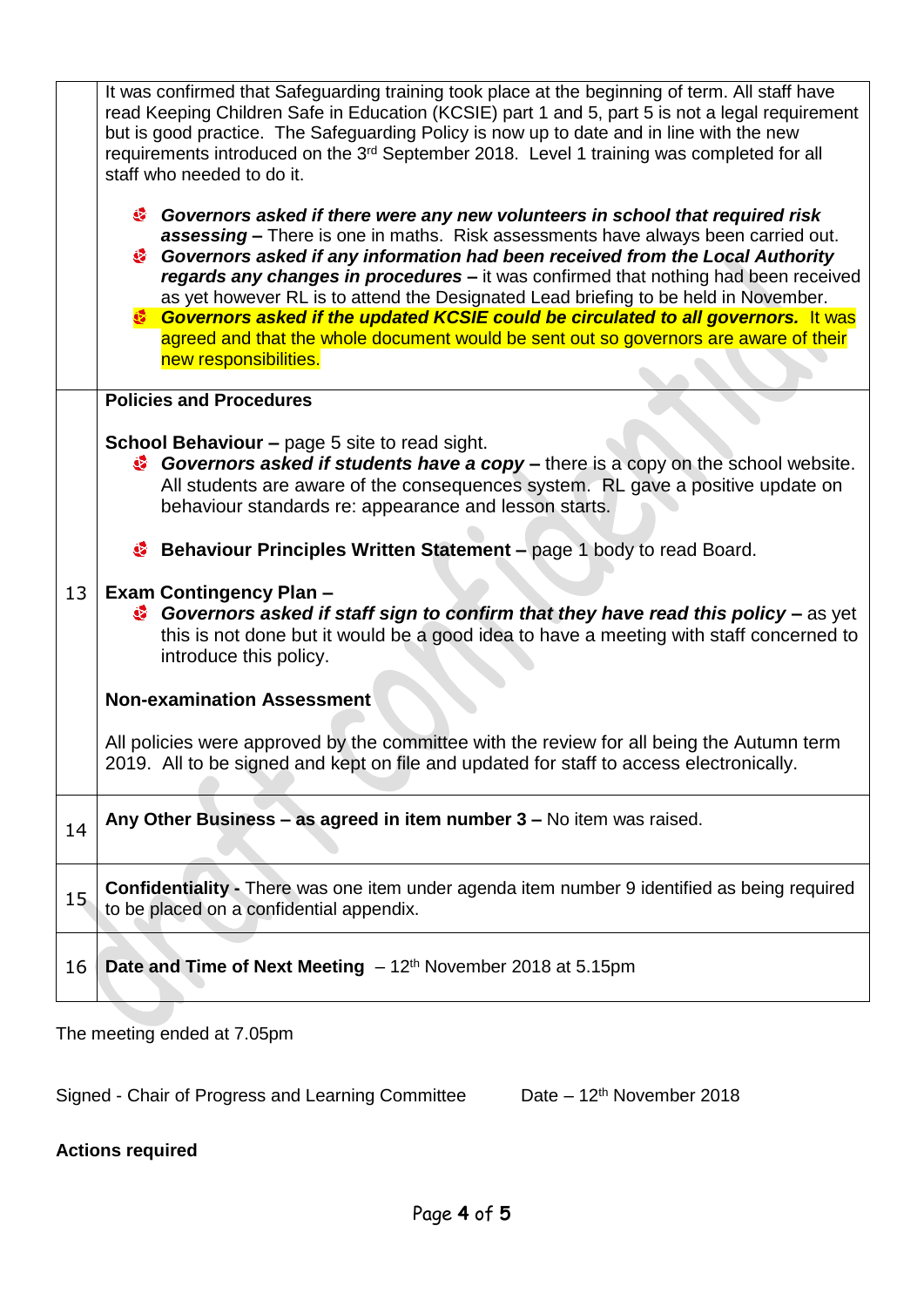|    | It was confirmed that Safeguarding training took place at the beginning of term. All staff have<br>read Keeping Children Safe in Education (KCSIE) part 1 and 5, part 5 is not a legal requirement<br>but is good practice. The Safeguarding Policy is now up to date and in line with the new<br>requirements introduced on the 3 <sup>rd</sup> September 2018. Level 1 training was completed for all<br>staff who needed to do it.                                                                                                                                                                                                   |  |  |
|----|-----------------------------------------------------------------------------------------------------------------------------------------------------------------------------------------------------------------------------------------------------------------------------------------------------------------------------------------------------------------------------------------------------------------------------------------------------------------------------------------------------------------------------------------------------------------------------------------------------------------------------------------|--|--|
|    | Governors asked if there were any new volunteers in school that required risk<br>assessing - There is one in maths. Risk assessments have always been carried out.<br>Governors asked if any information had been received from the Local Authority<br>regards any changes in procedures - it was confirmed that nothing had been received<br>as yet however RL is to attend the Designated Lead briefing to be held in November.<br>Sovernors asked if the updated KCSIE could be circulated to all governors. It was<br>agreed and that the whole document would be sent out so governors are aware of their<br>new responsibilities. |  |  |
|    | <b>Policies and Procedures</b><br><b>School Behaviour - page 5 site to read sight.</b><br><b>Governors asked if students have a copy</b> – there is a copy on the school website.<br>All students are aware of the consequences system. RL gave a positive update on<br>behaviour standards re: appearance and lesson starts.                                                                                                                                                                                                                                                                                                           |  |  |
| 13 | <b>Behaviour Principles Written Statement – page 1 body to read Board.</b><br><b>Exam Contingency Plan-</b><br><sup>3</sup> Governors asked if staff sign to confirm that they have read this policy – as yet<br>this is not done but it would be a good idea to have a meeting with staff concerned to<br>introduce this policy.                                                                                                                                                                                                                                                                                                       |  |  |
|    | <b>Non-examination Assessment</b>                                                                                                                                                                                                                                                                                                                                                                                                                                                                                                                                                                                                       |  |  |
|    | All policies were approved by the committee with the review for all being the Autumn term<br>2019. All to be signed and kept on file and updated for staff to access electronically.                                                                                                                                                                                                                                                                                                                                                                                                                                                    |  |  |
| 14 | Any Other Business - as agreed in item number 3 - No item was raised.                                                                                                                                                                                                                                                                                                                                                                                                                                                                                                                                                                   |  |  |
| 15 | <b>Confidentiality</b> - There was one item under agenda item number 9 identified as being required<br>to be placed on a confidential appendix.                                                                                                                                                                                                                                                                                                                                                                                                                                                                                         |  |  |
| 16 | <b>Date and Time of Next Meeting</b> $-12th$ November 2018 at 5.15pm                                                                                                                                                                                                                                                                                                                                                                                                                                                                                                                                                                    |  |  |

The meeting ended at 7.05pm

Signed - Chair of Progress and Learning Committee Date – 12<sup>th</sup> November 2018

## **Actions required**